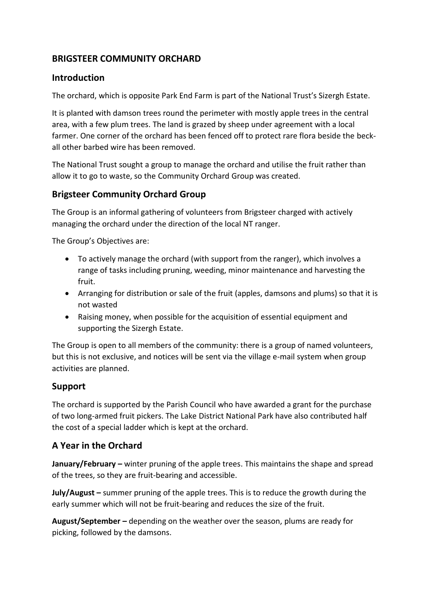## **BRIGSTEER COMMUNITY ORCHARD**

#### **Introduction**

The orchard, which is opposite Park End Farm is part of the National Trust's Sizergh Estate.

It is planted with damson trees round the perimeter with mostly apple trees in the central area, with a few plum trees. The land is grazed by sheep under agreement with a local farmer. One corner of the orchard has been fenced off to protect rare flora beside the beckall other barbed wire has been removed.

The National Trust sought a group to manage the orchard and utilise the fruit rather than allow it to go to waste, so the Community Orchard Group was created.

#### **Brigsteer Community Orchard Group**

The Group is an informal gathering of volunteers from Brigsteer charged with actively managing the orchard under the direction of the local NT ranger.

The Group's Objectives are:

- To actively manage the orchard (with support from the ranger), which involves a range of tasks including pruning, weeding, minor maintenance and harvesting the fruit.
- Arranging for distribution or sale of the fruit (apples, damsons and plums) so that it is not wasted
- Raising money, when possible for the acquisition of essential equipment and supporting the Sizergh Estate.

The Group is open to all members of the community: there is a group of named volunteers, but this is not exclusive, and notices will be sent via the village e-mail system when group activities are planned.

## **Support**

The orchard is supported by the Parish Council who have awarded a grant for the purchase of two long-armed fruit pickers. The Lake District National Park have also contributed half the cost of a special ladder which is kept at the orchard.

## **A Year in the Orchard**

**January/February –** winter pruning of the apple trees. This maintains the shape and spread of the trees, so they are fruit-bearing and accessible.

**July/August –** summer pruning of the apple trees. This is to reduce the growth during the early summer which will not be fruit-bearing and reduces the size of the fruit.

**August/September –** depending on the weather over the season, plums are ready for picking, followed by the damsons.